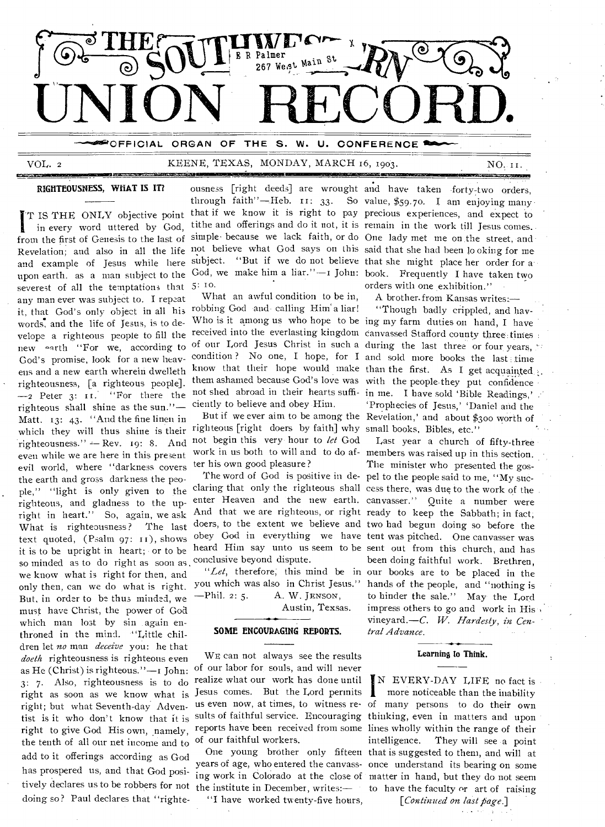

 $VOL. 2$ 

# KEENE, TEXAS, MONDAY, MARCH 16, 1903.

RIGHTEOUSNESS, WHAT IS IT?

T IS THE ONLY objective point in every word uttered by God, from the first of Genesis to the last of Revelation; and also in all the life not believe what God says on this said that she had been looking for me and example of Jesus while here upon earth. as a man subject to the severest of all the temptations that any man ever was subject to. I repeat it, that God's only object in all his words, and the life of Jesus, is to develope a righteous people to fill the new earth "For we, according to God's promise, look for a new heavens and a new earth wherein dwelleth righteousness, [a righteous people].  $-2$  Peter 3: 11. "For there the righteous shall shine as the sun."-Matt. 13: 43. "And the fine linen in which they will thus shine is their righteousness."  $-$  Rev. 19: 8. And even while we are here in this present evil world, where "darkness covers the earth and gross darkness the people," "light is only given to the righteous, and gladness to the upright in heart." So, again, we ask What is righteousness? The last text quoted, (Psalm 97: 11), shows it is to be upright in heart; or to be so minded as to do right as soon as we know what is right for then, and only then, can we do what is right. But, in order to be thus minded, we must have Christ, the power of God which man lost by sin again enthroned in the mind. "Little children let no man deceive you: he that doeth righteousness is righteous even as He (Christ) is righteous." $-$ I John:  $3: 7.$  Also, righteousness is to do right as soon as we know what is right; but what Seventh-day Adventist is it who don't know that it is right to give God His own, namely, the tenth of all our net income and to add to it offerings according as God has prospered us, and that God posidoing so? Paul declares that "righte-

 $5:10.$ 

What an awful condition to be in, robbing God and calling Him'a liar! ciently to believe and obey Him.

righteous [right doers by faith] why small books, Bibles, etc." not begin this very hour to let God work in us both to will and to do af- members was raised up in this section. ter his own good pleasure?

claring that only the righteous shall cess there, was due to the work of the enter Heaven and the new earth. canvasser." Quite a number were And that we are righteous, or right ready to keep the Sabbath; in fact; doers, to the extent we believe and two had begun doing so before the obey God in everything we have tent was pitched. One canvasser was heard Him say unto us seem to be sent out from this church, and has conclusive beyond dispute.

 $-Phi1.2:5.$ A. W. JENSON.

Austin, Texsas.

#### SOME ENCOURAGING REPORTS.

WE can not always see the results of our labor for souls, and will never realize what our work has done until Jesus comes. But the Lord permits  $\|$ us even now, at times, to witness re- of many persons to do their own sults of faithful service. Encouraging thinking, even in matters and upon reports have been received from some lines wholly within the range of their of our faithful workers.

years of age, who entered the canvass- once understand its bearing on some ing work in Colorado at the close of matter in hand, but they do not seem tively declares us to be robbers for not the institute in December, writes:- to have the faculty or art of raising

"I have worked twenty-five hours,

ousness [right deeds] are wrought and have taken forty-two orders. through faith"-Heb. II: 33. So value, \$59.70. I am enjoying many that if we know it is right to pay precious experiences, and expect to tithe and offerings and do it not, it is remain in the work till Jesus comes. simple because we lack faith, or do One lady met me on the street, and subject. "But if we do not believe that she might place her order for a God, we make him a liar."-I John: book. Frequently I have taken two orders with one exhibition."

NO. 11.

A brother from Kansas writes:-

"Though badly crippled, and hav-Who is it among us who hope to be ing my farm duties on hand, I have received into the everlasting kingdom canvassed Stafford county three times of our Lord Jesus Christ in such a during the last three or four years, condition? No one, I hope, for I and sold more books the last time know that their hope would make than the first. As I get acquainted them ashamed because God's love was with the people they put confidence not shed abroad in their hearts suffi- in me. I have sold 'Bible Readings,' 'Prophecies of Jesus,' 'Daniel and the But if we ever aim to be among the Revelation,' and about \$300 worth of

Last year a church of fifty-three The minister who presented the gos-The word of God is positive in de- pel to the people said to me, "My sucbeen doing faithful work. Brethren. "Let, therefore, this mind be in our books are to be placed in the you which was also in Christ Jesus." hands of the people, and "nothing is to hinder the sale." May the Lord impress others to go and work in His vineyard.-C. W. Hardesty, in Central Advance.

#### Learning to Think.

N EVERY-DAY LIFE no fact is more noticeable than the inability intelligence. They will see a point One young brother only fifteen that is suggested to them, and will at

[Continued on last page.]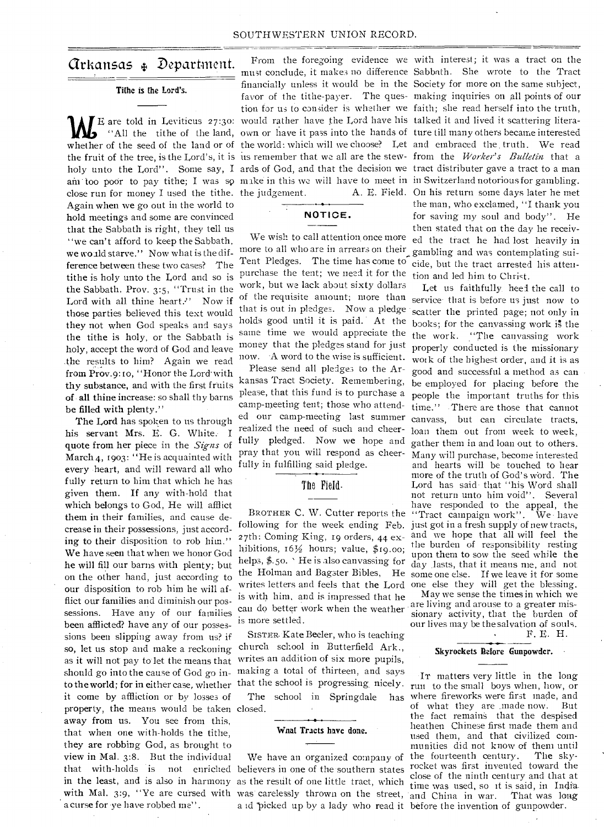## arkansas .1, Department.

#### Tithe is the Lord's.

close run for money I used the tithe. the judgement. A. E. Field. Again when we go out in the world to hold meetings and some are convinced that the Sabbath is right, they tell us "we can't afford to keep the Sabbath, we wo ald starve." Now what is the difference between these two cases? The tithe is holy unto the Lord and so is the Sabbath, Prov. 3:5, "Trust in the Lord with all thine heart." Now if those parties believed this text would they not when God speaks and says the tithe is holy, or the Sabbath is holy, accept the word of God and leave .the results to him? Again we read from Prov.9:10, "Honor the Lord with thy substance, and with the first fruits of , all thine increase: so shall thy barns be filled with plenty."

The Lord has spoken to us through his servant Mrs. E. G. White. I quote from her piece in the *Signs* of March 4, 1903: "He is acquainted with every heart, and will reward all who fully return to him that which he has given them. If any with-hold that which belongs to God, He will afflict them in their families, and cause decrease in their possessions, just according to their disposition to rob him." We have seen that when we honor God he will fill our barns with plenty; but on the other hand, just according to our disposition to rob him he will afflict our families and diminish our possessions. Have any of our families been afflicted? have any of our possessions been slipping away from us? if so, let us stop and make a reckoning as it will not pay to let the means that should go into the cause of God go into the world; for in either case, whether it come by affliction or by losses of property, the means would be taken closed. away from us. You see from this, that when one with-holds the tithe, they are robbing God, as brought to view in Mal. 3:8. But the individual that with-holds is in the least, and is also in harmony as the result of one little tract, which with Mal. 3:9, "Ye are cursed with was carelessly thrown on the street, and China in war. That was long a curse for ye have robbed me".

IF are told in Leviticus 27:30: would rather have the Lord have his talked it and lived it scattering litera-<br>"All the tithe of the land, own or have it pass into the hands of ture till many others became interested "All the tithe of the land, own or have it pass into the hands of ture till many others became interested whether of the seed of the land or of the world: which will we choose? Let and embraced the truth. We read holy unto the Lord". Some say, I ards of God, and that the decision we tract distributer gave a tract to a man am too poor to pay tithe; I was so make in this we will have to meet in in Switzerland notorious for gambling. From the foregoing evidence we with interest; it was a tract on the

### **NOTICE.**

We wish to call attention once more more to all who are in arrears on their, gambling and was contemplating sui-Tent Pledges. The time has come to cide, but the tract arrested his attenpurchase the tent; we need it for the work, but we lack about sixty dollars of the requisite amount; more than that is out in pledges. Now a pledge holds good until it is paid. At the same time we would appreciate the money that the pledges stand for just now. -A word to the wise is sufficient.

Please send all pledges to the Arkansas Tract Society. Remembering, please, that this fund is to purchase a camp-meeting tent; those who attended our camp-meeting last summer realized the need of such and cheerfully pledged. Now we hope and pray that you will respond as cheerfully in fulfilling said pledge.

#### The Field.

27th: Coming King, 19 orders, 44 exhibitions,  $16\frac{1}{2}$  hours; value, \$19.00; helps, \$.5o. • He is also canvassing for the Holman and Bagster Bibles, He writes letters and feels that the Lord is with him, and is impressed that he can do better work when the weather is more settled.

SISTER Kate Beeler, who is teaching church school in Butterfield Ark., writes an addition of six more pupils, making a total of thirteen, and says that the school is progressing nicely. The school in Springdale

#### Wnat Tracts have done.

We have an organized company of not enriched believers in one of the southern states

the fruit of the tree, is the Lord's, it is us remember that we all are the stew- from the *Worker's Bulletin* that a must conclude, it makes no difference Sabbath. She wrote to the Tract financially unless it would be in the Society for more on the same subject, favor of the tithe-payer. The ques-making inquiries on All points of our tion for us to consider is whether we faith; she read herself into the truth, A. E. Field. On his return some days later he met the man, who exclamed, "I thank you for saving my soul and body". He then stated that on the day he received the tract he had lost heavily in tion and led him to Christ.

> BROTHER C. W. Cutter reports the "Tract campaign work". We have following for the week ending Feb. just got in a fresh supply of new tracts, Let us faithfully. heel the call to service- that is before us just now to scatter the printed page; not only in books; for the canyassing work is the the work. "The canvassing work properly conducted is the missionary work of the highest order, and it is as good and successful a method as can be employed for placing before the people the important truths for this time." There are those that cannot canvass, but can circulate tracts, loan them out from week to week, gather them in and loan out to others. Many will purchase, become interested and hearts will be touched to hear more of the truth of God's word. The Lord has said. that "his Word shall not return unto him void". Several have responded to the appeal, the and we hope that all will feel the the burden of responsibility resting upon them to sow the seed while the day lasts, that it means me, and not. some one else. If we leave it for some one else they will get the blessing.

May we sense the times in which we are living and arouse to a greater missionary activity, that the burden of our lives may be the salvation of souls.

#### F. E. H.

#### Skyrockets Before Gunpowder. •

and picked up by a lady who read it before the invention of gunpowder. IT matters very little in the long run to the small boys when, how, or has where fireworks were first made, and of what they are ,made now. But the fact remains that the despised heathen Chinese first made them and used them, and that civilized communities did not know of them until<br>the fourteenth century. The skythe fourteenth century. rocket was first invented toward the close of the ninth century and that at time was used, so it is said, in India.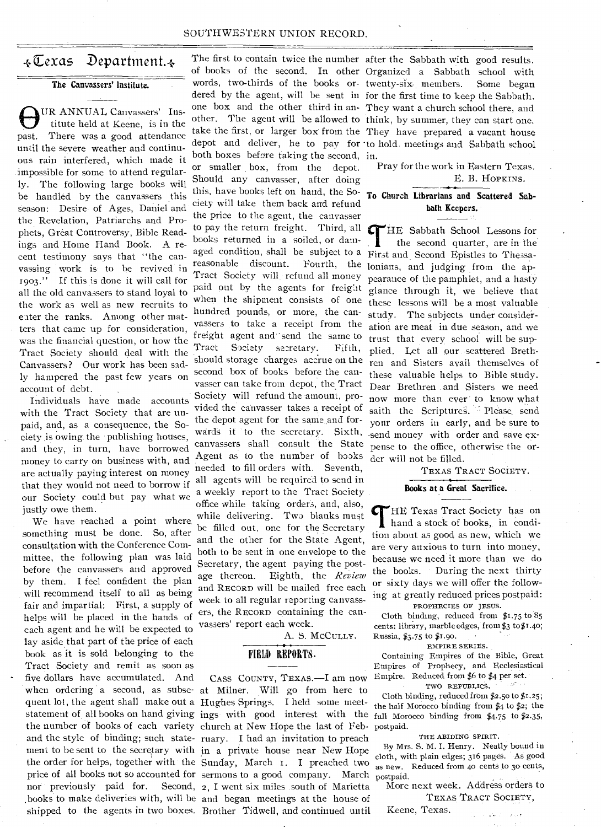#### SOUTHWESTERN UNION RECORD.

## $\overline{*}$ Cexas Department. $\overline{*}$

The Canvassers' Institute.

OUR ANNUAL Canvassers' Institute held at Keene, is in the past. There was a good attendance UR ANNUAL Canvassers' Institute held at Keene, is in the until the severe weather and continuous rain interfered, which made it impossible for some to attend regularly. The following large books will be handled by the canvassers this season: Desire of Ages, Daniel and the Revelation, Patriarchs and Prophets, Great Controversy, Bible Readings and Home Hand Book. A recent testimony says that "the canvassing work is- to be revived in 1903." If this is done it will call for all the old canvassers to stand loyal to the work as well as new recruits to enter the ranks. Among other matters that came up for consideration, was the financial question, or how the Tract Society should deal with the Canvassers? Our work has been sadly hampered the past few years on account of debt.

Individuals have made accounts with the Tract Society that are unpaid, and, as a consequence, the Society is owing the publishing houses, and they, in turn, have borrowed money to carry on business with, and are actually paying interest on money that they would not need to borrow if our Society could but pay what we justly owe them.

quent lot, the agent shall make out a Hughes Springs. I held some meet-We have reached a point where. something must be done. So, after consultation with the Conference Committee, the following plan was laid before the canvassers and approved by them. I feel confident the plan will recommend itself to all as being fair and impartial: First, a supply of helps will be placed in the hands of each agent and he will be expected to lay aside that part of the price of each book as it is sold belonging to the Tract Society and remit as soon as five dollars have accumulated. And nor previously paid for.

of books of the second. In other Organized a Sabbath school with words, two-thirds of the books or- twenty-six members. Some began dered by the agent, will be sent in for the first time to keep the Sabbath. one box and the other third in an-They want a church school there, and other. The agent will be allowed to think, by summer, they can start one. take the first, or larger box from the They have prepared a vacant house depot and deliver, he to pay for 'to hold. meetings and Sabbath school both boxes before taking the second, in. or smaller box, from the depot. Should any canvasser, after doing this, have books left on hand, the Society will take them back and refund the price to the agent, the canvasser to pay the return freight. Third, all books returned in a soiled, or damaged condition, shall be subject to a reasonable discount. Fourth, the Tract Society will refund all money paid out by the agents for freight when the shipment consists of one hundred pounds, or more, the canvassers to take a receipt from the freight agent and send the same to Tract Society secretary. Fifth, should storage charges accrue on the second box of books before the canvasser can take from depot, the Tract Society will refund the amount, provided the canvasser takes a receipt of the depot agent for the same and forwards it to the secretary. Sixth, canvassers shall consult the State Agent as to the number of books needed to fill orders with. Seventh, all agents will be required to send in a weekly report to the Tract Society office while taking orders, and, also, while delivering. Two blanks must be filled out, one for the Secretary and the other for the State Agent, both to be sent in one envelope to the Secretary, the agent paying the postage thereon. Eighth, the Review and RECORD will be mailed free each week to all regular reporting canvassers, the RECORD containing the canvassers' report each week.

A. S. McCully.

#### FIELD REPORTS.

CASS COUNTY, TEXAS.-I am now when ordering a second, as subse- at Milner. Will go from here to statement of all books on hand giving ings with good interest with the the number of books of each variety church at New Hope the last of Feband the style of binding; such state-ruary. I had an invitation to preach ment to be sent to the secretary with in a private house near New Hope the order for helps, together with the Sunday, March 1. I preached two price of all books not so accounted for sermons to a good company. March Second, 2. I went six miles south of Marietta books to make deliveries with, will be and began meetings at the house of shipped to the agents in two boxes. Brother Tidwell, and continued until

The first to contain twice the number after the Sabbath with good results.

Pray for the work in Eastern Texas. E. B. HOPKINS.

To Church Librarians and Scattered Sabbath Keepers.

THE Sabbath School Lessons for<br>the second quarter, are in the<br>Einst and Second Frittles to There the second quarter, are in the. First and.Second Epistles to Thessalonians, and judging from the appearance of the pamphlet, and a hasty glance through it, we believe that these lessons will be a most valuable study. The subjects under consideration are meat in due season, and we trust that every school will be supplied. Let all our scattered Brethren and Sisters avail themselves of these valuable helps to Bible study. Dear Brethren and Sisters we need now more than ever ' to know what saith the Scriptures. Please send your orders in early, and be sure to -send money with order and save expense to the office, otherwise the order will not be filled.

TEXAS TRACT SOCIETY.

#### Books at a Great Sacrifice.

THE Texas Tract Society has on hand a stock of books, in condi-HE Texas Tract Society has on tion about as good as new, which we are very anxious to turn into money, because we need it more than we do the books. During the next thirty or sixty days we will offer the following at greatly reduced prices postpaid:

PROPHECIES OF JESUS. Cloth binding, reduced from \$1.75 to 85 cents; library, marble edges, from \$3 to \$1.40; Russia, \$3.75 to \$1.90.

EMPIRE SERIES.

Containing Empires of the Bible, Great Empires of Prophecy, and Ecclesiastical Empire. Reduced from \$6 to \$4 per set. TWO REPUBLICS.

Cloth binding, reduced from \$2.50 to \$1.25; the half Morocco binding from \$4 to \$2; the full Morocco binding from  $$4.75$  to  $$2.35$ , postpaid.

THE ABIDING SPIRIT.

By Mrs. S. M. I. Henry. Neatly bound in cloth, with plain edges; 316 pages. As good as new. Reduced from 4o cents to 30 cents, postpaid.

More next week. Address orders to TEXAS TRACT SOCIETY,

Keene, Texas.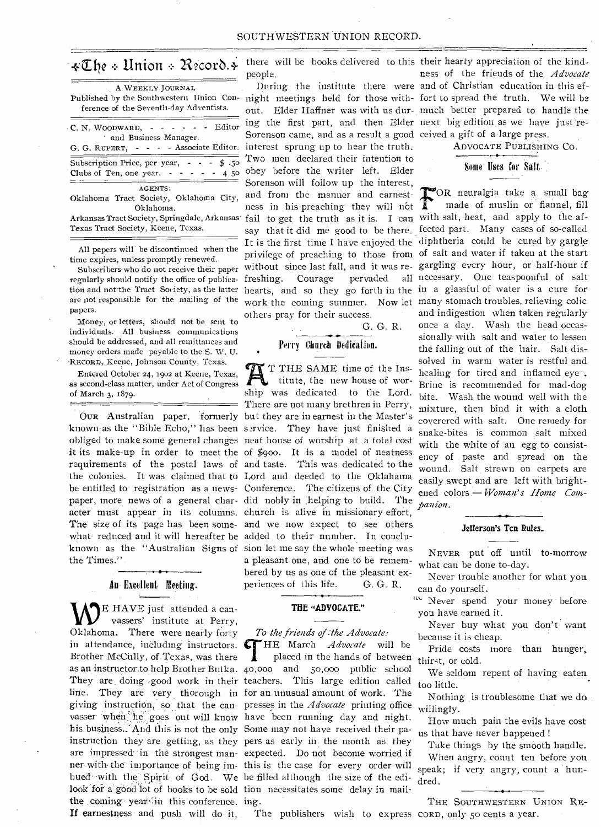|  |  | #The + Union + Record. + |  |
|--|--|--------------------------|--|
|  |  |                          |  |

| A WEEKLY JOURNAL<br>Published by the Southwestern Union Con-<br>ference of the Seventh-day Adventists. |  |  |  |  |
|--------------------------------------------------------------------------------------------------------|--|--|--|--|
| $C. N. WooowARD, - - - - - - -$<br>and Business Manager.<br>G. G. RUPERT, - - - - Associate Editor.    |  |  |  |  |
| Subscription Price, per year, $\cdot$ $\cdot$ $\cdot$ \$ .50<br>Clubs of Ten, one year, $- - - - 45$   |  |  |  |  |
| AGENTS:<br>Oklahoma Tract Society, Oklahoma City,<br>Oklahoma.                                         |  |  |  |  |
| Arkansas Tract Society, Springdale, Arkansas                                                           |  |  |  |  |

Texas Tract Society, Keene, Texas.

All papers will be discontinued when the time expires, unless promptly renewed. time expires, unless promptly renewed.

regularly should notify the office of publica-freshing. Courage pervaded all necessary. One teaspoonful of salt tion and not the Tract Society, as the latter hearts, and so they go forth in the in a glassful of water is a cure for are not responsible for the mailing of the papers.

Money, or letters, should not be sent to individuals. All business communications should be addressed, and all remittances and money orders made payable to the S. W. U. -REcoRD"Keene, Johnson County, Texas.

Entered October 24, 1902 at Keene, Texas, as second-class matter, under Act of Congress of. March 3, 1879.

obliged to make some general changes neat house of worship at a total cost acter must appear in its columns. church is alive in missionary effort, what reduced and it will hereafter be added to their number. In concluthe Times."

#### An Excellent Meeting.

E HAVE just attended a canvassers' institute at Perry, Oklahoma. There were nearly forty in attendance, including instructors.  $\blacksquare$ Brother McCully, of Texas, was there his business. And this is not the only Some may not have received their pabued with the Spirit of God. We be filled although the size of the edilook for a good lot of books to be sold tion necessitates some delay in mailthe coming year in this conference, ing. If earnestness and push will do it,

people.

Subscribers who do not receive their paper without since last fall, and it was re-gargling every hour, or half-hour if night meetings held for those with-fort to spread the truth. We will be out. Elder Haffner was with us dur-much better prepared to handle the ing the first .part, and then, Elder next big edition. as we have just're-Sorenson came, and as a result a good ceived a gift of a-large press. interest sprung up to hear the truth. Two men declared their intention to obey before the writer left. Elder Sorenson will follow up the interest, and from the manner and earnestand from the manner and earnest. fail to get the truth as it is. I can with salt, heat, and apply to the afsay that it did me good to be there. fected part. Many cases of so-called It is the first time I have enjoyed the diphtheria could be cured by gargle privilege of preaching to those from of salt and water if taken at the start work the coming summer. Now let many stomach troubles, relieving colic others pray for their success.

## Perry Church Dedication.

•

G. G. R.

OUR Australian paper. formerly but they are in earnest in the Master's known as the "Bible Echo," has been service. They have just finished a it its make-up in order to meet the of \$900. It is a model of neatness requirements of the postal laws of and taste. This was dedicated to the the colonies. It was claimed that to Lord and deeded to the Oklahama be entitled to registration as a news-Conference. The citizens of the City paper, more news of a general char-did nobly in helping to build. The The size of its page has been some-and we now expect to see others known as the "Australian Signs of sion let me say the whole meeting was T THE SAME time of the Institute, the new house of worship was dedicated to the Lord. There are not many brethren in Perry, a pleasant one, and one to be remembered by us as one of the pleasant experiences of this life. G. G. R.

#### **THE "ADVOCATE."**

#### *To the friends of :the Advocate:*

as an instructor.to help Brother Butka. 40,000 and 50,000 public school They .are, doing good work in their teachers. This large edition called line. They are very thorough in for an unusual amount of work. The giving instruction, so that the can- presses in the *Advocate* printing office vasser when he goes out will know have been running day and night. instruction they are getting, as they pers as early in the month as they are impressed' in the strongest man-expected. Do not become worried if ner with- the importance of being im-this is the case for every order will **HE** March *Advocate* will be placed in the hands of between

there will be books delivered to this their hearty appreciation of the kind-During the institute there were and of Christian education in this efness of the friends of the *Advocate* 

ADVOCATE PUBLISHING CO.

## Some Uses for Salt.

OR neuralgia take a small bag made of muslin or flannel, fill and indigestion when taken regularly once a day. Wash the head occassionally with salt and water to lessen the falling out of the hair. Salt dissolved in warm water is restful and healing for tired and inflamed eye-. Brine is recommended for mad-dog bite. Wash the wound well with the mixture, then bind it with a cloth coyerered with salt. One remedy for snake-bites is common salt mixed with the white of an egg to consistency of paste and spread on the wound. Salt strewn on carpets are easily swept and are left with brightened colors.— *Woman's Home Companion.* 

#### **Jefferson's Ten Rules.**

*NEVER* put off until to-morrow what can be done to-day.

Never trouble another for what you can do yourself.

never spend your money before you have earned it.

Never buy what you don't want because it is cheap.

Pride costs more than hunger, thirst, or cold.

We seldom repent of having eaten too little.

Nothing is troublesome that we do willingly.

How much pain the evils have cost us that have never happened !

Take things by the smooth handle. When angry, count ten before you speak; if very angry, count a hundred.

THE SOUTHWESTERN UNION RE-

The publishers wish to express CORD, only 5o cents a year.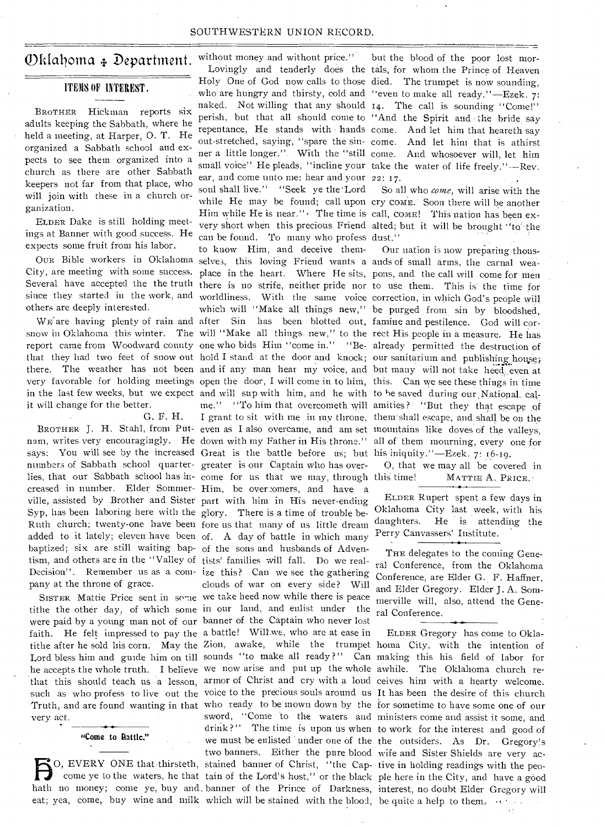#### SOUTHWESTERN UNION RECORD.

## Oklahoma + Department.

#### ITEMS OF INTEREST.

BROTHER Hickman reports six adults keeping the Sabbath, where he held a meeting, at Harper, 0. T. He organized a Sabbath school and expects to see them organized into a church as there are other Sabbath keepers not far from that place, who will join with these in a church organization.

ELDER Dake is still holding meetings at Banner with good success. He expects some fruit from his labor.

others are deeply interested.

it will change for the better.

G. F. H.

numbers of Sabbath school quarter-greater is our Captain who has overlies, that our Sabbath school has in-come for us that we may, through creased in number. Elder Sommer-Him, be over.2omers, and have a Syp, has been laboring here with the glory. There is a time of trouble be-

were paid by a young man not of our banner of the Captain who never lost

eat; yea, come, buy wine and milk which will be stained with the blood, be quite a help to them.

"Come to Battle."

OUR Bible workers in Oklahoma selves, this loving Friend wants a ands of small arms, the carnal wea-City, are meeting with some success. place in the heart. Where He sits, pons, and the call will come for men Several have accepted the the truth there is no strife, neither pride nor to use them. This is the time for since they started in the work, and worldliness. With the same voice correction, in which God's people will WE'are having plenty of rain and after Sin has been blotted out, famine and pestilence. God will corsnow in Oklahoma this winter. The will "Make all things new," to the rect His people in a measure. He has report came from Woodward county one who bids Him "come in." "Be- already permitted the destruction of that they had two feet of snow out hold I stand at the door and knock; our sanitarium and publishing house; there. The weather has not been and if any man hear my voice, and but many will not take heed even at very favorable for holding meetings open the door, I will come in to him, this. Can we see these things in time in the last few weeks, but we expect and will sup with him, and he with to be saved during our National. BROTHER J. H. Stahl, from Put-even as I also overcame, and am set mountains like doves of the valleys, nam, writes very encouragingly. He down with my Father in His throne." all of them mourning, every one for says: You will see by the increased Great is the battle before us; but his iniquity."—Ezek. 7: 16-19. ville, assisted by Brother and Sister part with him in His never-ending Ruth church; twenty-one have been fore us that many of us little dream added to it lately; eleven have been of. A day of battle in which many without money and without price." Holy .One of God now calls to those died. The trumpet is now sounding, who are hungry and thirsty, cold and "even to make all ready."—Ezek. 7: naked. Not willing that any should 14. The call is sounding "Come!" perish, but that all should come to "And the Spirit and the bride say repentance, He stands with hands come. And let him that heareth say out-stretched, saying, "spare the sin-come. And let him that is athirst ner a little longer.". With the "still come. And whosoever will, let him small voice" He pleads, "incline your take the water of life freely."-Rev. ear, and come unto me: hear and your 22: 17. soul shall live." "Seek ye the 'Lord So all who *come,* will arise with the while He may be found; call upon cry COME. Soon there will be another Him while He is near." The time is call, COME! This nation has been exvery short when this precious Friend alted; but it will be brought "to the can be found. To many who profess dust." to know Him, and deceive themwhich will "Make all things new," be purged from sin by bloodshed, me." "To him that overcometh will amities? "But they that escape of I grant to sit with me in my throne, them shall escape, and shall be on the baptized; six are still waiting bap- of the sons and husbands of Adven-<br>THE delegates to the coming Genetism, and others are in the "Valley of tists' families will fall. Do we real- ral Conference, from the Oklahoma Decision". Remember us as a com- ize this? Can we see the gathering Conference, are Elder G. F. Haffner, pany at the throne of grace. clouds of war on every side? Will and Elder Crossory. Elder J. A. Some SISTER Mattie Price sent in some we take heed now while there is peace tithe the other day, of which some in our land, and enlist under the ral Conference. faith. He felt impressed to pay the a battle! Wiltwe, who are at ease in ELDER Gregory has come to Oklatithe after he sold his corn. May the Zion, awake, while the trumpet homa City, with the intention of Lord bless him and guide him on till sounds "to make all ready ?" Can making this his field of labor for he accepts the whole truth. I believe we now arise and put up the whole awhile. The Oklahoma church rethat this should teach us a lesson, armor of Christ and cry with a loud ceives him with a hearty welcome. such as who profess to live out the voice to the precious souls around us It has been the desire of this church Truth, and are found wanting in that who ready to be mown down by the for sometime to have some one of our very act. sword, "Come to the waters and ministers come and assist it some, and drink?" The time is upon us when to work for the interest and good of we must be enlisted ' under one of the the outsiders. As Dr. Gregory's two banners. Either the pure blood wife and Sister Shields are very ac-Fracture the pure blood wife and Sister Shields are very ac-<br>Come ye to the waters, he that tain of the Lord's host," or the black ple here in the City, and have a good<br>hath no money; come ye, buy and, banner of the Prince O, EVERY ONE that thirsteth, stained banner of Christ, "the Cap- tive in holding readings with the peocome ye to the waters, he that tain of the Lord's host," or the black ple here in the City, and have a good

Lovingly and tenderly does the tals, for whom the Prince of Heaven but the blood of the poor lost mor-

Our nation is now preparing thous-

0, that we may all be covered in this time! MATTIE A. PRICE.

ELDER Rupert spent a few days in Oklahoma City last week, with his daughters. He is attending the Perry Canvassers' Institute.

and Elder Gregory. Elder J. A. Som-<br>merville will, also, attend the Gene-